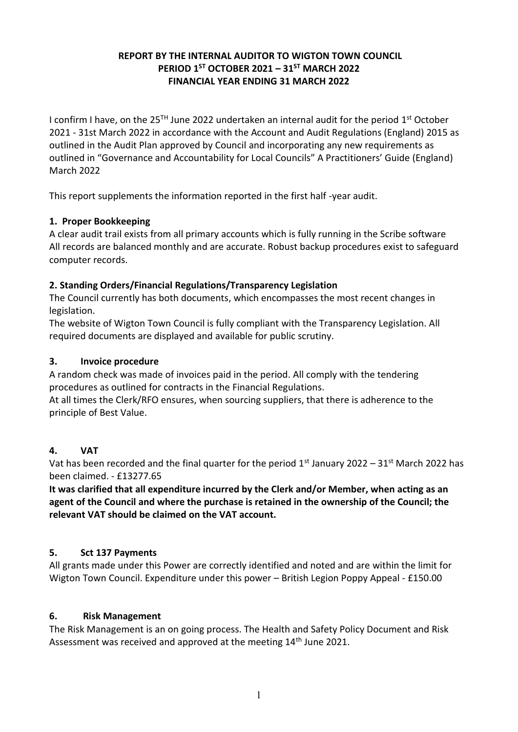## **REPORT BY THE INTERNAL AUDITOR TO WIGTON TOWN COUNCIL PERIOD 1ST OCTOBER 2021 – 31ST MARCH 2022 FINANCIAL YEAR ENDING 31 MARCH 2022**

I confirm I have, on the 25<sup>TH</sup> June 2022 undertaken an internal audit for the period 1<sup>st</sup> October 2021 - 31st March 2022 in accordance with the Account and Audit Regulations (England) 2015 as outlined in the Audit Plan approved by Council and incorporating any new requirements as outlined in "Governance and Accountability for Local Councils" A Practitioners' Guide (England) March 2022

This report supplements the information reported in the first half -year audit.

## **1. Proper Bookkeeping**

A clear audit trail exists from all primary accounts which is fully running in the Scribe software All records are balanced monthly and are accurate. Robust backup procedures exist to safeguard computer records.

## **2. Standing Orders/Financial Regulations/Transparency Legislation**

The Council currently has both documents, which encompasses the most recent changes in legislation.

The website of Wigton Town Council is fully compliant with the Transparency Legislation. All required documents are displayed and available for public scrutiny.

#### **3. Invoice procedure**

A random check was made of invoices paid in the period. All comply with the tendering procedures as outlined for contracts in the Financial Regulations.

At all times the Clerk/RFO ensures, when sourcing suppliers, that there is adherence to the principle of Best Value.

## **4. VAT**

Vat has been recorded and the final quarter for the period  $1<sup>st</sup>$  January 2022 – 31 $<sup>st</sup>$  March 2022 has</sup> been claimed. - £13277.65

**It was clarified that all expenditure incurred by the Clerk and/or Member, when acting as an agent of the Council and where the purchase is retained in the ownership of the Council; the relevant VAT should be claimed on the VAT account.**

## **5. Sct 137 Payments**

All grants made under this Power are correctly identified and noted and are within the limit for Wigton Town Council. Expenditure under this power – British Legion Poppy Appeal - £150.00

## **6. Risk Management**

The Risk Management is an on going process. The Health and Safety Policy Document and Risk Assessment was received and approved at the meeting 14<sup>th</sup> June 2021.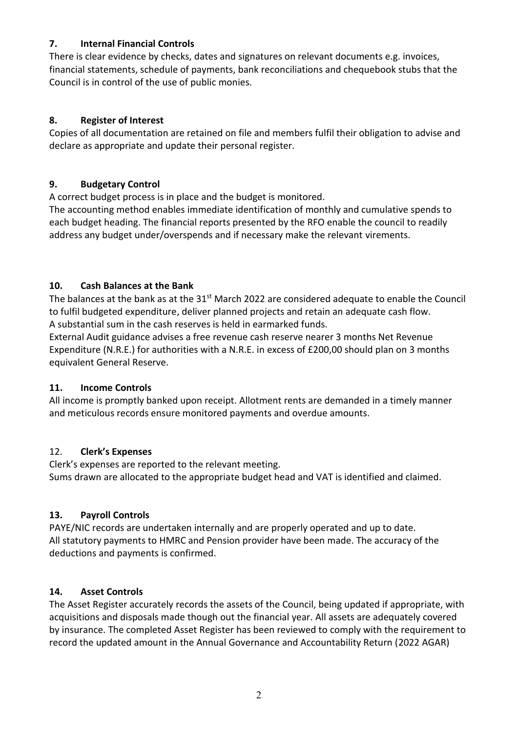## **7. Internal Financial Controls**

There is clear evidence by checks, dates and signatures on relevant documents e.g. invoices, financial statements, schedule of payments, bank reconciliations and chequebook stubs that the Council is in control of the use of public monies.

## **8. Register of Interest**

Copies of all documentation are retained on file and members fulfil their obligation to advise and declare as appropriate and update their personal register.

## **9. Budgetary Control**

A correct budget process is in place and the budget is monitored.

The accounting method enables immediate identification of monthly and cumulative spends to each budget heading. The financial reports presented by the RFO enable the council to readily address any budget under/overspends and if necessary make the relevant virements.

## **10. Cash Balances at the Bank**

The balances at the bank as at the 31<sup>st</sup> March 2022 are considered adequate to enable the Council to fulfil budgeted expenditure, deliver planned projects and retain an adequate cash flow. A substantial sum in the cash reserves is held in earmarked funds.

External Audit guidance advises a free revenue cash reserve nearer 3 months Net Revenue Expenditure (N.R.E.) for authorities with a N.R.E. in excess of £200,00 should plan on 3 months equivalent General Reserve.

## **11. Income Controls**

All income is promptly banked upon receipt. Allotment rents are demanded in a timely manner and meticulous records ensure monitored payments and overdue amounts.

# 12. **Clerk's Expenses**

Clerk's expenses are reported to the relevant meeting. Sums drawn are allocated to the appropriate budget head and VAT is identified and claimed.

# **13. Payroll Controls**

PAYE/NIC records are undertaken internally and are properly operated and up to date. All statutory payments to HMRC and Pension provider have been made. The accuracy of the deductions and payments is confirmed.

# **14. Asset Controls**

The Asset Register accurately records the assets of the Council, being updated if appropriate, with acquisitions and disposals made though out the financial year. All assets are adequately covered by insurance. The completed Asset Register has been reviewed to comply with the requirement to record the updated amount in the Annual Governance and Accountability Return (2022 AGAR)